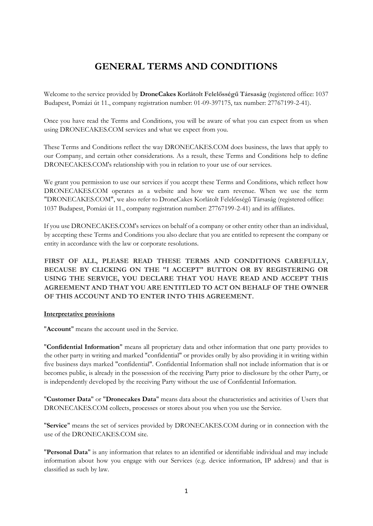# **GENERAL TERMS AND CONDITIONS**

Welcome to the service provided by **DroneCakes Korlátolt Felelősségű Társaság** (registered office: 1037 Budapest, Pomázi út 11., company registration number: 01-09-397175, tax number: 27767199-2-41).

Once you have read the Terms and Conditions, you will be aware of what you can expect from us when using DRONECAKES.COM services and what we expect from you.

These Terms and Conditions reflect the way DRONECAKES.COM does business, the laws that apply to our Company, and certain other considerations. As a result, these Terms and Conditions help to define DRONECAKES.COM's relationship with you in relation to your use of our services.

We grant you permission to use our services if you accept these Terms and Conditions, which reflect how DRONECAKES.COM operates as a website and how we earn revenue. When we use the term "DRONECAKES.COM", we also refer to DroneCakes Korlátolt Felelősségű Társaság (registered office: 1037 Budapest, Pomázi út 11., company registration number: 27767199-2-41) and its affiliates.

If you use DRONECAKES.COM's services on behalf of a company or other entity other than an individual, by accepting these Terms and Conditions you also declare that you are entitled to represent the company or entity in accordance with the law or corporate resolutions.

**FIRST OF ALL, PLEASE READ THESE TERMS AND CONDITIONS CAREFULLY, BECAUSE BY CLICKING ON THE "I ACCEPT" BUTTON OR BY REGISTERING OR USING THE SERVICE, YOU DECLARE THAT YOU HAVE READ AND ACCEPT THIS AGREEMENT AND THAT YOU ARE ENTITLED TO ACT ON BEHALF OF THE OWNER OF THIS ACCOUNT AND TO ENTER INTO THIS AGREEMENT.** 

## **Interpretative provisions**

"**Account**" means the account used in the Service.

"**Confidential Information**" means all proprietary data and other information that one party provides to the other party in writing and marked "confidential" or provides orally by also providing it in writing within five business days marked "confidential". Confidential Information shall not include information that is or becomes public, is already in the possession of the receiving Party prior to disclosure by the other Party, or is independently developed by the receiving Party without the use of Confidential Information.

"**Customer Data**" or "**Dronecakes Data**" means data about the characteristics and activities of Users that DRONECAKES.COM collects, processes or stores about you when you use the Service.

"**Service**" means the set of services provided by DRONECAKES.COM during or in connection with the use of the DRONECAKES.COM site.

"**Personal Data**" is any information that relates to an identified or identifiable individual and may include information about how you engage with our Services (e.g. device information, IP address) and that is classified as such by law.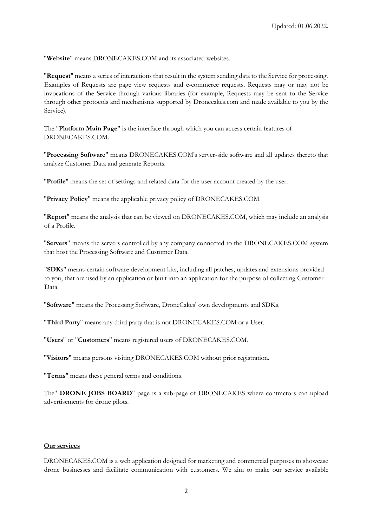"**Website**" means DRONECAKES.COM and its associated websites.

"**Request**" means a series of interactions that result in the system sending data to the Service for processing. Examples of Requests are page view requests and e-commerce requests. Requests may or may not be invocations of the Service through various libraries (for example, Requests may be sent to the Service through other protocols and mechanisms supported by Dronecakes.com and made available to you by the Service).

The "**Platform Main Page**" is the interface through which you can access certain features of DRONECAKES.COM.

"**Processing Software**" means DRONECAKES.COM's server-side software and all updates thereto that analyze Customer Data and generate Reports.

"**Profile**" means the set of settings and related data for the user account created by the user.

"**Privacy Policy**" means the applicable privacy policy of DRONECAKES.COM.

"**Report**" means the analysis that can be viewed on DRONECAKES.COM, which may include an analysis of a Profile.

"**Servers**" means the servers controlled by any company connected to the DRONECAKES.COM system that host the Processing Software and Customer Data.

"**SDKs**" means certain software development kits, including all patches, updates and extensions provided to you, that are used by an application or built into an application for the purpose of collecting Customer Data.

"**Software**" means the Processing Software, DroneCakes' own developments and SDKs.

"**Third Party**" means any third party that is not DRONECAKES.COM or a User.

"**Users**" or "**Customers**" means registered users of DRONECAKES.COM.

"**Visitors**" means persons visiting DRONECAKES.COM without prior registration.

"**Terms**" means these general terms and conditions.

The" **DRONE JOBS BOARD**" page is a sub-page of DRONECAKES where contractors can upload advertisements for drone pilots.

## **Our services**

DRONECAKES.COM is a web application designed for marketing and commercial purposes to showcase drone businesses and facilitate communication with customers. We aim to make our service available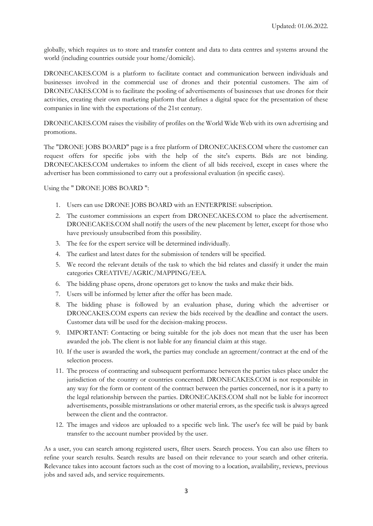globally, which requires us to store and transfer content and data to data centres and systems around the world (including countries outside your home/domicile).

DRONECAKES.COM is a platform to facilitate contact and communication between individuals and businesses involved in the commercial use of drones and their potential customers. The aim of DRONECAKES.COM is to facilitate the pooling of advertisements of businesses that use drones for their activities, creating their own marketing platform that defines a digital space for the presentation of these companies in line with the expectations of the 21st century.

DRONECAKES.COM raises the visibility of profiles on the World Wide Web with its own advertising and promotions.

The "DRONE JOBS BOARD" page is a free platform of DRONECAKES.COM where the customer can request offers for specific jobs with the help of the site's experts. Bids are not binding. DRONECAKES.COM undertakes to inform the client of all bids received, except in cases where the advertiser has been commissioned to carry out a professional evaluation (in specific cases).

Using the " DRONE JOBS BOARD ":

- 1. Users can use DRONE JOBS BOARD with an ENTERPRISE subscription.
- 2. The customer commissions an expert from DRONECAKES.COM to place the advertisement. DRONECAKES.COM shall notify the users of the new placement by letter, except for those who have previously unsubscribed from this possibility.
- 3. The fee for the expert service will be determined individually.
- 4. The earliest and latest dates for the submission of tenders will be specified.
- 5. We record the relevant details of the task to which the bid relates and classify it under the main categories CREATIVE/AGRIC/MAPPING/EEA.
- 6. The bidding phase opens, drone operators get to know the tasks and make their bids.
- 7. Users will be informed by letter after the offer has been made.
- 8. The bidding phase is followed by an evaluation phase, during which the advertiser or DRONCAKES.COM experts can review the bids received by the deadline and contact the users. Customer data will be used for the decision-making process.
- 9. IMPORTANT: Contacting or being suitable for the job does not mean that the user has been awarded the job. The client is not liable for any financial claim at this stage.
- 10. If the user is awarded the work, the parties may conclude an agreement/contract at the end of the selection process.
- 11. The process of contracting and subsequent performance between the parties takes place under the jurisdiction of the country or countries concerned. DRONECAKES.COM is not responsible in any way for the form or content of the contract between the parties concerned, nor is it a party to the legal relationship between the parties. DRONECAKES.COM shall not be liable for incorrect advertisements, possible mistranslations or other material errors, as the specific task is always agreed between the client and the contractor.
- 12. The images and videos are uploaded to a specific web link. The user's fee will be paid by bank transfer to the account number provided by the user.

As a user, you can search among registered users, filter users. Search process. You can also use filters to refine your search results. Search results are based on their relevance to your search and other criteria. Relevance takes into account factors such as the cost of moving to a location, availability, reviews, previous jobs and saved ads, and service requirements.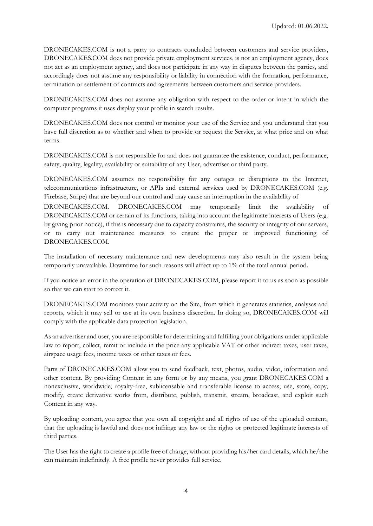DRONECAKES.COM is not a party to contracts concluded between customers and service providers, DRONECAKES.COM does not provide private employment services, is not an employment agency, does not act as an employment agency, and does not participate in any way in disputes between the parties, and accordingly does not assume any responsibility or liability in connection with the formation, performance, termination or settlement of contracts and agreements between customers and service providers.

DRONECAKES.COM does not assume any obligation with respect to the order or intent in which the computer programs it uses display your profile in search results.

DRONECAKES.COM does not control or monitor your use of the Service and you understand that you have full discretion as to whether and when to provide or request the Service, at what price and on what terms.

DRONECAKES.COM is not responsible for and does not guarantee the existence, conduct, performance, safety, quality, legality, availability or suitability of any User, advertiser or third party.

DRONECAKES.COM assumes no responsibility for any outages or disruptions to the Internet, telecommunications infrastructure, or APIs and external services used by DRONECAKES.COM (e.g. Firebase, Stripe) that are beyond our control and may cause an interruption in the availability of

DRONECAKES.COM. DRONECAKES.COM may temporarily limit the availability of DRONECAKES.COM or certain of its functions, taking into account the legitimate interests of Users (e.g. by giving prior notice), if this is necessary due to capacity constraints, the security or integrity of our servers, or to carry out maintenance measures to ensure the proper or improved functioning of DRONECAKES.COM.

The installation of necessary maintenance and new developments may also result in the system being temporarily unavailable. Downtime for such reasons will affect up to 1% of the total annual period.

If you notice an error in the operation of DRONECAKES.COM, please report it to us as soon as possible so that we can start to correct it.

DRONECAKES.COM monitors your activity on the Site, from which it generates statistics, analyses and reports, which it may sell or use at its own business discretion. In doing so, DRONECAKES.COM will comply with the applicable data protection legislation.

As an advertiser and user, you are responsible for determining and fulfilling your obligations under applicable law to report, collect, remit or include in the price any applicable VAT or other indirect taxes, user taxes, airspace usage fees, income taxes or other taxes or fees.

Parts of DRONECAKES.COM allow you to send feedback, text, photos, audio, video, information and other content. By providing Content in any form or by any means, you grant DRONECAKES.COM a nonexclusive, worldwide, royalty-free, sublicensable and transferable license to access, use, store, copy, modify, create derivative works from, distribute, publish, transmit, stream, broadcast, and exploit such Content in any way.

By uploading content, you agree that you own all copyright and all rights of use of the uploaded content, that the uploading is lawful and does not infringe any law or the rights or protected legitimate interests of third parties.

The User has the right to create a profile free of charge, without providing his/her card details, which he/she can maintain indefinitely. A free profile never provides full service.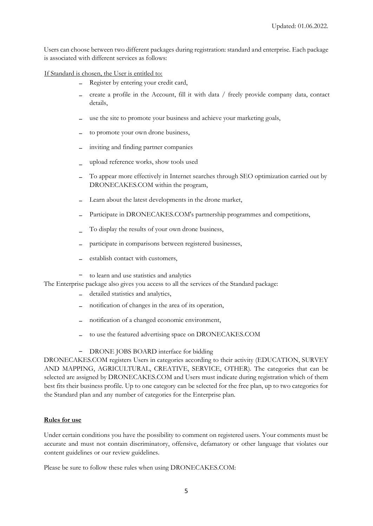Users can choose between two different packages during registration: standard and enterprise. Each package is associated with different services as follows:

If Standard is chosen, the User is entitled to:

- − Register by entering your credit card,
- − create a profile in the Account, fill it with data / freely provide company data, contact details,
- use the site to promote your business and achieve your marketing goals,
- to promote your own drone business,
- inviting and finding partner companies
- − upload reference works, show tools used
- To appear more effectively in Internet searches through SEO optimization carried out by DRONECAKES.COM within the program,
- Learn about the latest developments in the drone market,
- Participate in DRONECAKES.COM's partnership programmes and competitions,
- − To display the results of your own drone business,
- participate in comparisons between registered businesses,
- establish contact with customers,
- − to learn and use statistics and analytics

The Enterprise package also gives you access to all the services of the Standard package:

- − detailed statistics and analytics,
- notification of changes in the area of its operation,
- notification of a changed economic environment,
- to use the featured advertising space on DRONECAKES.COM
- − DRONE JOBS BOARD interface for bidding

DRONECAKES.COM registers Users in categories according to their activity (EDUCATION, SURVEY AND MAPPING, AGRICULTURAL, CREATIVE, SERVICE, OTHER). The categories that can be selected are assigned by DRONECAKES.COM and Users must indicate during registration which of them best fits their business profile. Up to one category can be selected for the free plan, up to two categories for the Standard plan and any number of categories for the Enterprise plan.

#### **Rules for use**

Under certain conditions you have the possibility to comment on registered users. Your comments must be accurate and must not contain discriminatory, offensive, defamatory or other language that violates our content guidelines or our review guidelines.

Please be sure to follow these rules when using DRONECAKES.COM: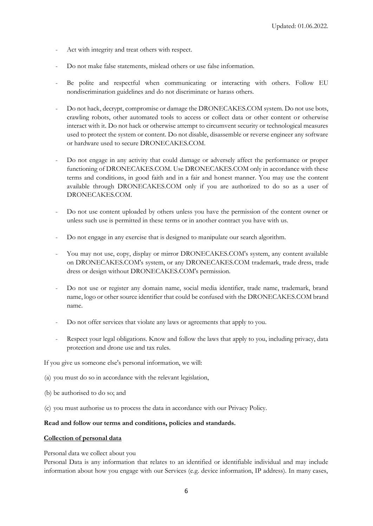- Act with integrity and treat others with respect.
- Do not make false statements, mislead others or use false information.
- Be polite and respectful when communicating or interacting with others. Follow EU nondiscrimination guidelines and do not discriminate or harass others.
- Do not hack, decrypt, compromise or damage the DRONECAKES.COM system. Do not use bots, crawling robots, other automated tools to access or collect data or other content or otherwise interact with it. Do not hack or otherwise attempt to circumvent security or technological measures used to protect the system or content. Do not disable, disassemble or reverse engineer any software or hardware used to secure DRONECAKES.COM.
- Do not engage in any activity that could damage or adversely affect the performance or proper functioning of DRONECAKES.COM. Use DRONECAKES.COM only in accordance with these terms and conditions, in good faith and in a fair and honest manner. You may use the content available through DRONECAKES.COM only if you are authorized to do so as a user of DRONECAKES.COM.
- Do not use content uploaded by others unless you have the permission of the content owner or unless such use is permitted in these terms or in another contract you have with us.
- Do not engage in any exercise that is designed to manipulate our search algorithm.
- You may not use, copy, display or mirror DRONECAKES.COM's system, any content available on DRONECAKES.COM's system, or any DRONECAKES.COM trademark, trade dress, trade dress or design without DRONECAKES.COM's permission.
- Do not use or register any domain name, social media identifier, trade name, trademark, brand name, logo or other source identifier that could be confused with the DRONECAKES.COM brand name.
- Do not offer services that violate any laws or agreements that apply to you.
- Respect your legal obligations. Know and follow the laws that apply to you, including privacy, data protection and drone use and tax rules.

If you give us someone else's personal information, we will:

- (a) you must do so in accordance with the relevant legislation,
- (b) be authorised to do so; and
- (c) you must authorise us to process the data in accordance with our Privacy Policy.

## **Read and follow our terms and conditions, policies and standards.**

## **Collection of personal data**

Personal data we collect about you

Personal Data is any information that relates to an identified or identifiable individual and may include information about how you engage with our Services (e.g. device information, IP address). In many cases,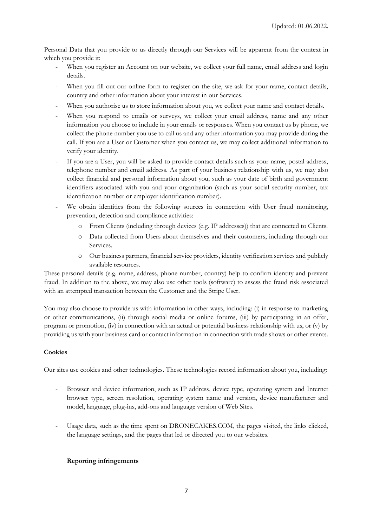Personal Data that you provide to us directly through our Services will be apparent from the context in which you provide it:

- When you register an Account on our website, we collect your full name, email address and login details.
- When you fill out our online form to register on the site, we ask for your name, contact details, country and other information about your interest in our Services.
- When you authorise us to store information about you, we collect your name and contact details.
- When you respond to emails or surveys, we collect your email address, name and any other information you choose to include in your emails or responses. When you contact us by phone, we collect the phone number you use to call us and any other information you may provide during the call. If you are a User or Customer when you contact us, we may collect additional information to verify your identity.
- If you are a User, you will be asked to provide contact details such as your name, postal address, telephone number and email address. As part of your business relationship with us, we may also collect financial and personal information about you, such as your date of birth and government identifiers associated with you and your organization (such as your social security number, tax identification number or employer identification number).
- We obtain identities from the following sources in connection with User fraud monitoring, prevention, detection and compliance activities:
	- o From Clients (including through devices (e.g. IP addresses)) that are connected to Clients.
	- o Data collected from Users about themselves and their customers, including through our Services.
	- o Our business partners, financial service providers, identity verification services and publicly available resources.

These personal details (e.g. name, address, phone number, country) help to confirm identity and prevent fraud. In addition to the above, we may also use other tools (software) to assess the fraud risk associated with an attempted transaction between the Customer and the Stripe User.

You may also choose to provide us with information in other ways, including: (i) in response to marketing or other communications, (ii) through social media or online forums, (iii) by participating in an offer, program or promotion, (iv) in connection with an actual or potential business relationship with us, or (v) by providing us with your business card or contact information in connection with trade shows or other events.

## **Cookies**

Our sites use cookies and other technologies. These technologies record information about you, including:

- Browser and device information, such as IP address, device type, operating system and Internet browser type, screen resolution, operating system name and version, device manufacturer and model, language, plug-ins, add-ons and language version of Web Sites.
- Usage data, such as the time spent on DRONECAKES.COM, the pages visited, the links clicked, the language settings, and the pages that led or directed you to our websites.

## **Reporting infringements**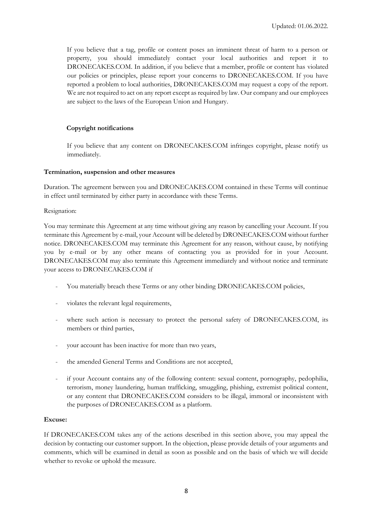If you believe that a tag, profile or content poses an imminent threat of harm to a person or property, you should immediately contact your local authorities and report it to DRONECAKES.COM. In addition, if you believe that a member, profile or content has violated our policies or principles, please report your concerns to DRONECAKES.COM. If you have reported a problem to local authorities, DRONECAKES.COM may request a copy of the report. We are not required to act on any report except as required by law. Our company and our employees are subject to the laws of the European Union and Hungary.

## **Copyright notifications**

If you believe that any content on DRONECAKES.COM infringes copyright, please notify us immediately.

#### **Termination, suspension and other measures**

Duration. The agreement between you and DRONECAKES.COM contained in these Terms will continue in effect until terminated by either party in accordance with these Terms.

#### Resignation:

You may terminate this Agreement at any time without giving any reason by cancelling your Account. If you terminate this Agreement by e-mail, your Account will be deleted by DRONECAKES.COM without further notice. DRONECAKES.COM may terminate this Agreement for any reason, without cause, by notifying you by e-mail or by any other means of contacting you as provided for in your Account. DRONECAKES.COM may also terminate this Agreement immediately and without notice and terminate your access to DRONECAKES.COM if

- You materially breach these Terms or any other binding DRONECAKES.COM policies,
- violates the relevant legal requirements,
- where such action is necessary to protect the personal safety of DRONECAKES.COM, its members or third parties,
- your account has been inactive for more than two years,
- the amended General Terms and Conditions are not accepted,
- if your Account contains any of the following content: sexual content, pornography, pedophilia, terrorism, money laundering, human trafficking, smuggling, phishing, extremist political content, or any content that DRONECAKES.COM considers to be illegal, immoral or inconsistent with the purposes of DRONECAKES.COM as a platform.

## **Excuse:**

If DRONECAKES.COM takes any of the actions described in this section above, you may appeal the decision by contacting our customer support. In the objection, please provide details of your arguments and comments, which will be examined in detail as soon as possible and on the basis of which we will decide whether to revoke or uphold the measure.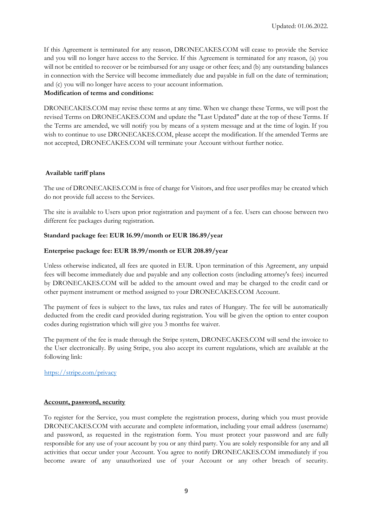If this Agreement is terminated for any reason, DRONECAKES.COM will cease to provide the Service and you will no longer have access to the Service. If this Agreement is terminated for any reason, (a) you will not be entitled to recover or be reimbursed for any usage or other fees; and (b) any outstanding balances in connection with the Service will become immediately due and payable in full on the date of termination; and (c) you will no longer have access to your account information.

# **Modification of terms and conditions:**

DRONECAKES.COM may revise these terms at any time. When we change these Terms, we will post the revised Terms on DRONECAKES.COM and update the "Last Updated" date at the top of these Terms. If the Terms are amended, we will notify you by means of a system message and at the time of login. If you wish to continue to use DRONECAKES.COM, please accept the modification. If the amended Terms are not accepted, DRONECAKES.COM will terminate your Account without further notice.

# **Available tariff plans**

The use of DRONECAKES.COM is free of charge for Visitors, and free user profiles may be created which do not provide full access to the Services.

The site is available to Users upon prior registration and payment of a fee. Users can choose between two different fee packages during registration.

# **Standard package fee: EUR 16.99/month or EUR 186.89/year**

# **Enterprise package fee: EUR 18.99/month or EUR 208.89/year**

Unless otherwise indicated, all fees are quoted in EUR. Upon termination of this Agreement, any unpaid fees will become immediately due and payable and any collection costs (including attorney's fees) incurred by DRONECAKES.COM will be added to the amount owed and may be charged to the credit card or other payment instrument or method assigned to your DRONECAKES.COM Account.

The payment of fees is subject to the laws, tax rules and rates of Hungary. The fee will be automatically deducted from the credit card provided during registration. You will be given the option to enter coupon codes during registration which will give you 3 months fee waiver.

The payment of the fee is made through the Stripe system, DRONECAKES.COM will send the invoice to the User electronically. By using Stripe, you also accept its current regulations, which are available at the following link:

<https://stripe.com/privacy>

## **Account, password, security**

To register for the Service, you must complete the registration process, during which you must provide DRONECAKES.COM with accurate and complete information, including your email address (username) and password, as requested in the registration form. You must protect your password and are fully responsible for any use of your account by you or any third party. You are solely responsible for any and all activities that occur under your Account. You agree to notify DRONECAKES.COM immediately if you become aware of any unauthorized use of your Account or any other breach of security.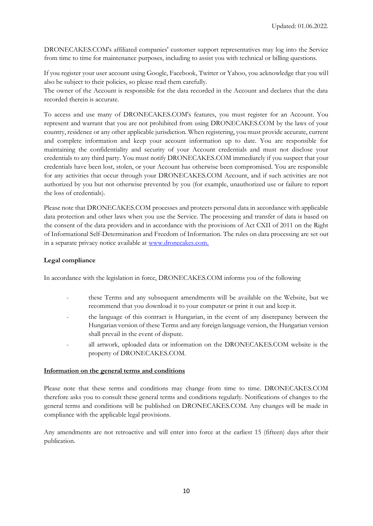DRONECAKES.COM's affiliated companies' customer support representatives may log into the Service from time to time for maintenance purposes, including to assist you with technical or billing questions.

If you register your user account using Google, Facebook, Twitter or Yahoo, you acknowledge that you will also be subject to their policies, so please read them carefully.

The owner of the Account is responsible for the data recorded in the Account and declares that the data recorded therein is accurate.

To access and use many of DRONECAKES.COM's features, you must register for an Account. You represent and warrant that you are not prohibited from using DRONECAKES.COM by the laws of your country, residence or any other applicable jurisdiction. When registering, you must provide accurate, current and complete information and keep your account information up to date. You are responsible for maintaining the confidentiality and security of your Account credentials and must not disclose your credentials to any third party. You must notify DRONECAKES.COM immediately if you suspect that your credentials have been lost, stolen, or your Account has otherwise been compromised. You are responsible for any activities that occur through your DRONECAKES.COM Account, and if such activities are not authorized by you but not otherwise prevented by you (for example, unauthorized use or failure to report the loss of credentials).

Please note that DRONECAKES.COM processes and protects personal data in accordance with applicable data protection and other laws when you use the Service. The processing and transfer of data is based on the consent of the data providers and in accordance with the provisions of Act CXII of 2011 on the Right of Informational Self-Determination and Freedom of Information. The rules on data processing are set out in a separate privacy notice available at [www.dronecakes.com.](http://www.dronecakes.com/)

# **Legal compliance**

In accordance with the legislation in force, DRONECAKES.COM informs you of the following

- these Terms and any subsequent amendments will be available on the Website, but we recommend that you download it to your computer or print it out and keep it.
- the language of this contract is Hungarian, in the event of any discrepancy between the Hungarian version of these Terms and any foreign language version, the Hungarian version shall prevail in the event of dispute.
- all artwork, uploaded data or information on the DRONECAKES.COM website is the property of DRONECAKES.COM.

## **Information on the general terms and conditions**

Please note that these terms and conditions may change from time to time. DRONECAKES.COM therefore asks you to consult these general terms and conditions regularly. Notifications of changes to the general terms and conditions will be published on DRONECAKES.COM. Any changes will be made in compliance with the applicable legal provisions.

Any amendments are not retroactive and will enter into force at the earliest 15 (fifteen) days after their publication.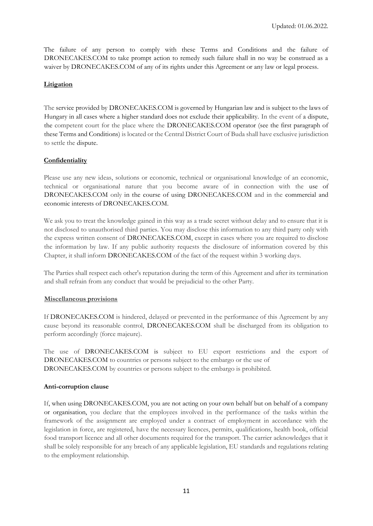The failure of any person to comply with these Terms and Conditions and the failure of DRONECAKES.COM to take prompt action to remedy such failure shall in no way be construed as a waiver by DRONECAKES.COM of any of its rights under this Agreement or any law or legal process.

# **Litigation**

The service provided by DRONECAKES.COM is governed by Hungarian law and is subject to the laws of Hungary in all cases where a higher standard does not exclude their applicability. In the event of a dispute, the competent court for the place where the DRONECAKES.COM operator (see the first paragraph of these Terms and Conditions) is located or the Central District Court of Buda shall have exclusive jurisdiction to settle the dispute.

# **Confidentiality**

Please use any new ideas, solutions or economic, technical or organisational knowledge of an economic, technical or organisational nature that you become aware of in connection with the use of DRONECAKES.COM only in the course of using DRONECAKES.COM and in the commercial and economic interests of DRONECAKES.COM.

We ask you to treat the knowledge gained in this way as a trade secret without delay and to ensure that it is not disclosed to unauthorised third parties. You may disclose this information to any third party only with the express written consent of DRONECAKES.COM, except in cases where you are required to disclose the information by law. If any public authority requests the disclosure of information covered by this Chapter, it shall inform DRONECAKES.COM of the fact of the request within 3 working days.

The Parties shall respect each other's reputation during the term of this Agreement and after its termination and shall refrain from any conduct that would be prejudicial to the other Party.

## **Miscellaneous provisions**

If DRONECAKES.COM is hindered, delayed or prevented in the performance of this Agreement by any cause beyond its reasonable control, DRONECAKES.COM shall be discharged from its obligation to perform accordingly (force majeure).

The use of DRONECAKES.COM is subject to EU export restrictions and the export of DRONECAKES.COM to countries or persons subject to the embargo or the use of DRONECAKES.COM by countries or persons subject to the embargo is prohibited.

## **Anti-corruption clause**

If, when using DRONECAKES.COM, you are not acting on your own behalf but on behalf of a company or organisation, you declare that the employees involved in the performance of the tasks within the framework of the assignment are employed under a contract of employment in accordance with the legislation in force, are registered, have the necessary licences, permits, qualifications, health book, official food transport licence and all other documents required for the transport. The carrier acknowledges that it shall be solely responsible for any breach of any applicable legislation, EU standards and regulations relating to the employment relationship.